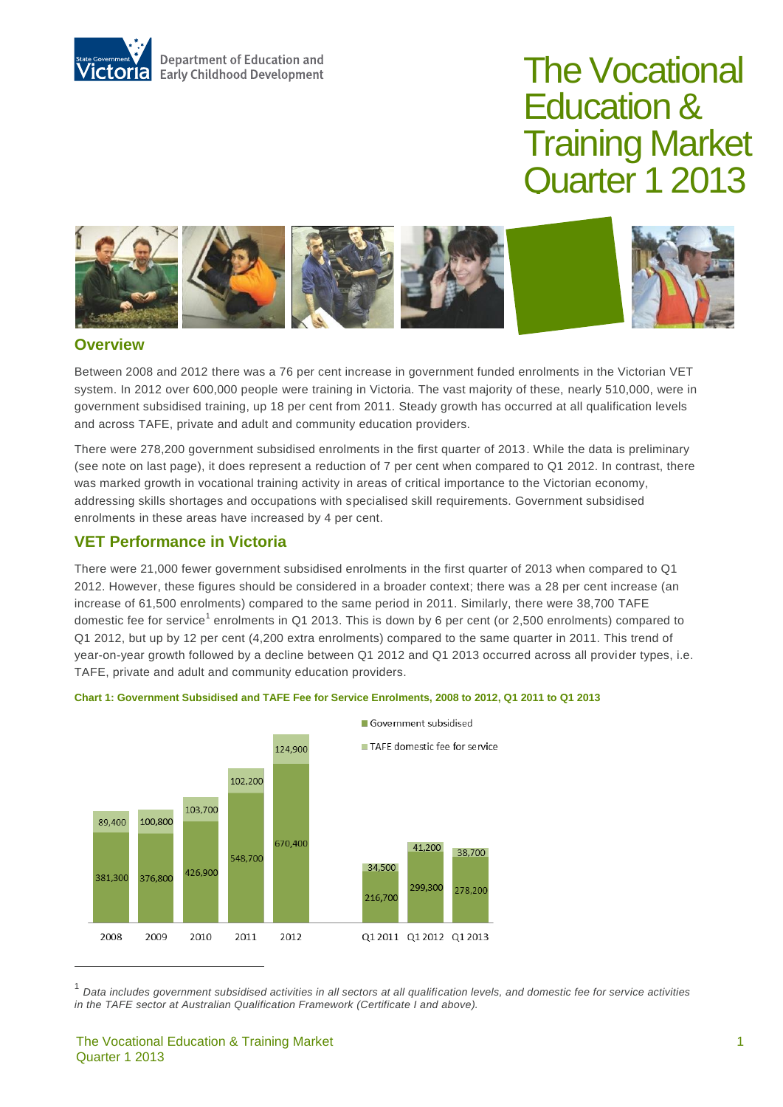

# The Vocational Education & Training Market Quarter 1 2013



### **Overview**

Between 2008 and 2012 there was a 76 per cent increase in government funded enrolments in the Victorian VET system. In 2012 over 600,000 people were training in Victoria. The vast majority of these, nearly 510,000, were in government subsidised training, up 18 per cent from 2011. Steady growth has occurred at all qualification levels and across TAFE, private and adult and community education providers.

There were 278,200 government subsidised enrolments in the first quarter of 2013. While the data is preliminary (see note on last page), it does represent a reduction of 7 per cent when compared to Q1 2012. In contrast, there was marked growth in vocational training activity in areas of critical importance to the Victorian economy, addressing skills shortages and occupations with specialised skill requirements. Government subsidised enrolments in these areas have increased by 4 per cent.

## **VET Performance in Victoria**

There were 21,000 fewer government subsidised enrolments in the first quarter of 2013 when compared to Q1 2012. However, these figures should be considered in a broader context; there was a 28 per cent increase (an increase of 61,500 enrolments) compared to the same period in 2011. Similarly, there were 38,700 TAFE domestic fee for service<sup>1</sup> enrolments in Q1 2013. This is down by 6 per cent (or 2,500 enrolments) compared to Q1 2012, but up by 12 per cent (4,200 extra enrolments) compared to the same quarter in 2011. This trend of year-on-year growth followed by a decline between Q1 2012 and Q1 2013 occurred across all provider types, i.e. TAFE, private and adult and community education providers.





<sup>1</sup> *Data includes government subsidised activities in all sectors at all qualification levels, and domestic fee for service activities in the TAFE sector at Australian Qualification Framework (Certificate I and above).*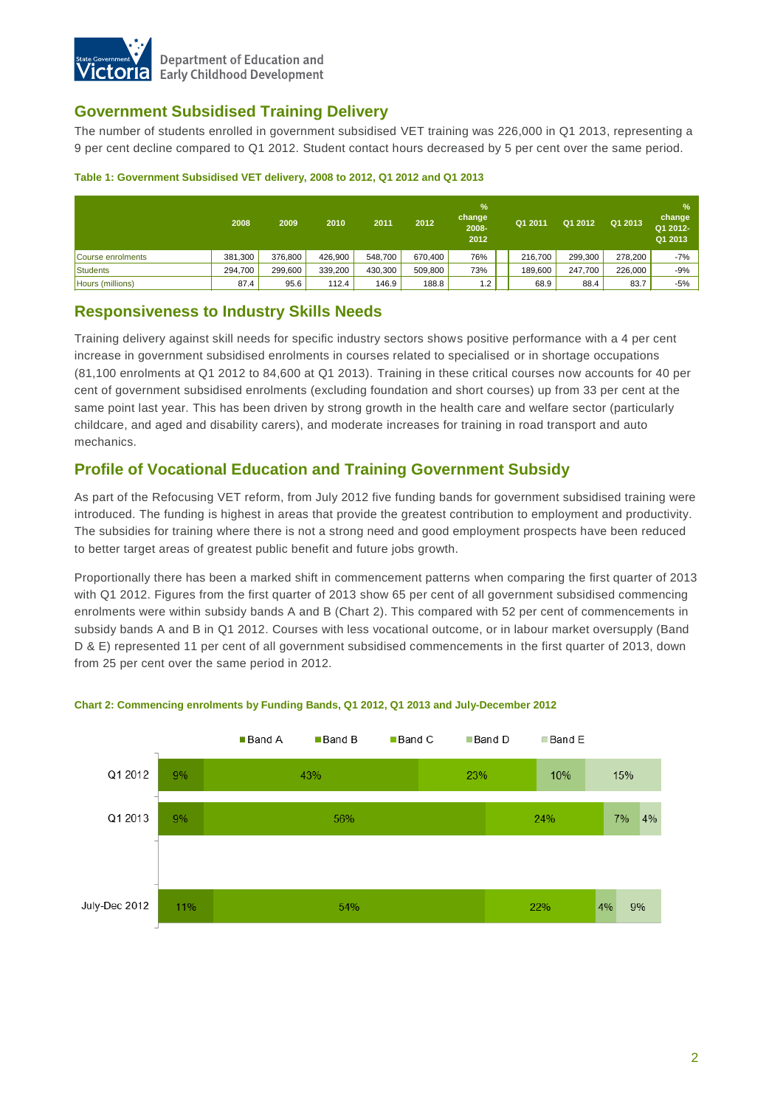

## **Government Subsidised Training Delivery**

The number of students enrolled in government subsidised VET training was 226,000 in Q1 2013, representing a 9 per cent decline compared to Q1 2012. Student contact hours decreased by 5 per cent over the same period.

|                   | 2008    | 2009    | 2010    | 2011    | 2012    | %<br>change<br>2008-<br>2012 | Q1 2011 | Q1 2012 | Q1 2013 | $\frac{9}{6}$<br>change<br>Q1 2012-<br>Q1 2013 |
|-------------------|---------|---------|---------|---------|---------|------------------------------|---------|---------|---------|------------------------------------------------|
| Course enrolments | 381,300 | 376.800 | 426.900 | 548.700 | 670.400 | 76%                          | 216,700 | 299.300 | 278.200 | $-7%$                                          |
| Students          | 294,700 | 299,600 | 339,200 | 430.300 | 509,800 | 73%                          | 189,600 | 247,700 | 226,000 | $-9%$                                          |
| Hours (millions)  | 87.4    | 95.6    | 112.4   | 146.9   | 188.8   | 2. ا                         | 68.9    | 88.4    | 83.7    | $-5%$                                          |

#### **Table 1: Government Subsidised VET delivery, 2008 to 2012, Q1 2012 and Q1 2013**

## **Responsiveness to Industry Skills Needs**

Training delivery against skill needs for specific industry sectors shows positive performance with a 4 per cent increase in government subsidised enrolments in courses related to specialised or in shortage occupations (81,100 enrolments at Q1 2012 to 84,600 at Q1 2013). Training in these critical courses now accounts for 40 per cent of government subsidised enrolments (excluding foundation and short courses) up from 33 per cent at the same point last year. This has been driven by strong growth in the health care and welfare sector (particularly childcare, and aged and disability carers), and moderate increases for training in road transport and auto mechanics.

## **Profile of Vocational Education and Training Government Subsidy**

As part of the Refocusing VET reform, from July 2012 five funding bands for government subsidised training were introduced. The funding is highest in areas that provide the greatest contribution to employment and productivity. The subsidies for training where there is not a strong need and good employment prospects have been reduced to better target areas of greatest public benefit and future jobs growth.

Proportionally there has been a marked shift in commencement patterns when comparing the first quarter of 2013 with Q1 2012. Figures from the first quarter of 2013 show 65 per cent of all government subsidised commencing enrolments were within subsidy bands A and B (Chart 2). This compared with 52 per cent of commencements in subsidy bands A and B in Q1 2012. Courses with less vocational outcome, or in labour market oversupply (Band D & E) represented 11 per cent of all government subsidised commencements in the first quarter of 2013, down from 25 per cent over the same period in 2012.



#### **Chart 2: Commencing enrolments by Funding Bands, Q1 2012, Q1 2013 and July-December 2012**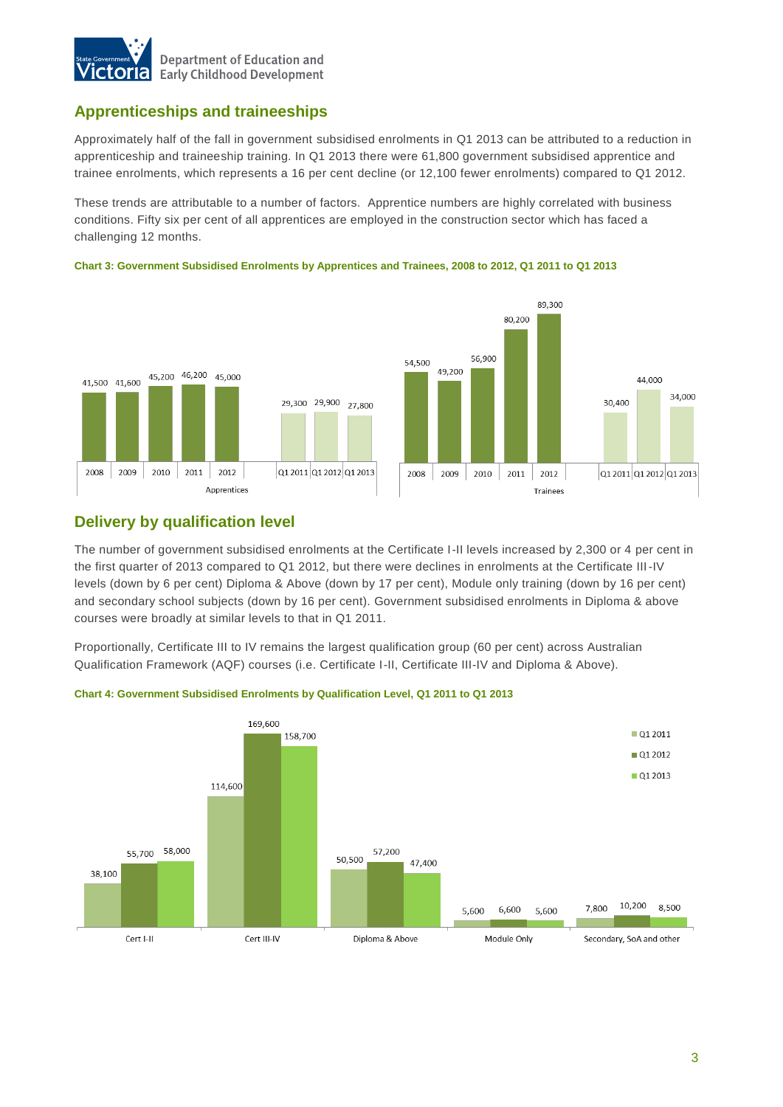

## **Apprenticeships and traineeships**

Approximately half of the fall in government subsidised enrolments in Q1 2013 can be attributed to a reduction in apprenticeship and traineeship training. In Q1 2013 there were 61,800 government subsidised apprentice and trainee enrolments, which represents a 16 per cent decline (or 12,100 fewer enrolments) compared to Q1 2012.

These trends are attributable to a number of factors. Apprentice numbers are highly correlated with business conditions. Fifty six per cent of all apprentices are employed in the construction sector which has faced a challenging 12 months.



#### **Chart 3: Government Subsidised Enrolments by Apprentices and Trainees, 2008 to 2012, Q1 2011 to Q1 2013**

## **Delivery by qualification level**

The number of government subsidised enrolments at the Certificate I-II levels increased by 2,300 or 4 per cent in the first quarter of 2013 compared to Q1 2012, but there were declines in enrolments at the Certificate III-IV levels (down by 6 per cent) Diploma & Above (down by 17 per cent), Module only training (down by 16 per cent) and secondary school subjects (down by 16 per cent). Government subsidised enrolments in Diploma & above courses were broadly at similar levels to that in Q1 2011.

Proportionally, Certificate III to IV remains the largest qualification group (60 per cent) across Australian Qualification Framework (AQF) courses (i.e. Certificate I-II, Certificate III-IV and Diploma & Above).



#### **Chart 4: Government Subsidised Enrolments by Qualification Level, Q1 2011 to Q1 2013**